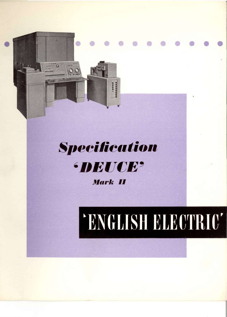

### **Specification**



### **Mark II**

# 'ENGLISH ELECTRIC'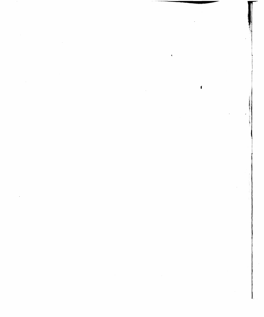$\label{eq:2.1} \frac{1}{\sqrt{2}}\int_{\mathbb{R}^3}\frac{1}{\sqrt{2}}\left(\frac{1}{\sqrt{2}}\right)^2\frac{1}{\sqrt{2}}\left(\frac{1}{\sqrt{2}}\right)^2\frac{1}{\sqrt{2}}\left(\frac{1}{\sqrt{2}}\right)^2.$  $\langle \!\langle \cdot \rangle \!\rangle$  $\blacklozenge$  $\label{eq:2.1} \frac{1}{\sqrt{2}}\int_{\mathbb{R}^3}\frac{1}{\sqrt{2}}\left(\frac{1}{\sqrt{2}}\right)^2\frac{1}{\sqrt{2}}\left(\frac{1}{\sqrt{2}}\right)^2\frac{1}{\sqrt{2}}\left(\frac{1}{\sqrt{2}}\right)^2\frac{1}{\sqrt{2}}\left(\frac{1}{\sqrt{2}}\right)^2\frac{1}{\sqrt{2}}\left(\frac{1}{\sqrt{2}}\right)^2\frac{1}{\sqrt{2}}\frac{1}{\sqrt{2}}\frac{1}{\sqrt{2}}\frac{1}{\sqrt{2}}\frac{1}{\sqrt{2}}\frac{1}{\sqrt{2}}$  $\mathcal{A}$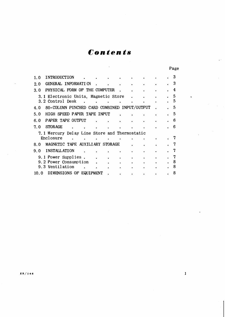*Contents*

|                                                          |  |  |              |  |  |  | Page   |
|----------------------------------------------------------|--|--|--------------|--|--|--|--------|
| INTRODUCTION<br>1. 0                                     |  |  |              |  |  |  | 3      |
| GENERAL INFORMATION<br>2.0                               |  |  |              |  |  |  | 3      |
| PHYSICAL FORM OF THE COMPUTER<br>3.0                     |  |  |              |  |  |  | 4      |
| 3.1 Electronic Units, Magnetic Store<br>3.2 Control Desk |  |  |              |  |  |  | 5<br>5 |
| 80-COLUMN PUNCHED CARD COMBINED<br>4.0                   |  |  | INPUT/OUTPUT |  |  |  | 5      |
| HIGH SPEED PAPER TAPE INPUT<br>5.0                       |  |  |              |  |  |  | 5      |
| PAPER TAPE OUTPUT<br>ჩ. Ი                                |  |  |              |  |  |  | 6      |
| <b>STORAGE</b><br>7.0                                    |  |  |              |  |  |  | 6      |
| 7.1 Mercury Delay Line Store and Thermostatic            |  |  |              |  |  |  |        |
| Enclosure                                                |  |  |              |  |  |  |        |
| MAGNETIC TAPE AUXILIARY STORAGE<br>8. 0                  |  |  |              |  |  |  |        |
| <b>INSTALL ATION</b><br>9. 0                             |  |  |              |  |  |  |        |
| 9.1 Power Supplies.                                      |  |  |              |  |  |  |        |
| 9.2 Power Consumption                                    |  |  |              |  |  |  | 8      |
| 9.3 Ventilation                                          |  |  |              |  |  |  | 8      |
| DIMENSIONS OF EQUIPMENT<br>10.0                          |  |  |              |  |  |  | 8      |

**ES/ 148 <sup>1</sup>**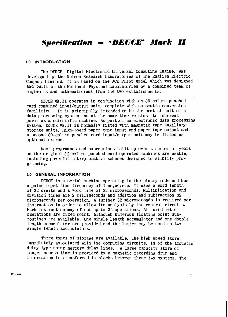### *Speeitication — 6DEUCE9 Mark II*

### **1.0 INTRODUCTION**

The DEUCE, Digital Electronic Universal Computing Engine, was developed by the Nelson Research Laboratories of The English Electric Company Limited. It is based on the ACE Pilot Model which was designed and built at the National Physical Laboratories by a combined team of engineers and mathematicians from the two establishments.

EEUCE Mk. II operates in conjunction with an 80-column punched card combined input/output unit, complete with automatic conversion<br>facilities. It is principally intended to be the central unit of a It is principally intended to be the central unit of a data processing system and at the same time retains its inherent power as a scientific machine. As part.of an electronic data processing system, EEUCE Mk.II is normally fitted with magnetic tape auxiliary storage units. High-speed paper tape input and paper tape output and a second 80-column punched card input/output unit may be fitted as optional extras.

Most programmes and subroutines built up over a number of years on the original 32-column punched card operated machines are usable, including powerful interpretative schemes designed to simplify programming.

### **2.0 GENERAL INFORMATION**

DEUCE is a serial machine operating in the binary mode and has a pulse repetition frequency of <sup>1</sup> megacycle. It uses <sup>a</sup> word length of <sup>32</sup> digits and a word time of <sup>32</sup> microseconds. Multiplication and division times are <sup>2</sup> milliseconds and addition and subtraction 32 microseconds per operation. <sup>A</sup> further <sup>32</sup> microseconds is required per instruction in order to allow its analysis by the control circuits. Each instruction may effect up to 32 operations. All arithmetic operations are fixed point, although numerous floating point subroutines are available. One single length accumulator and one double length accumulator are provided and the latter may be used as two single length accumulators.

Three types of storage are available. The high speed store, immediately associated with the computing circuits, is of the acoustic delay type using mercury delay lines. <sup>A</sup> large capacity store of longer access time is provided by a magnetic recording drum and information is transferred in blocks between these two systems. The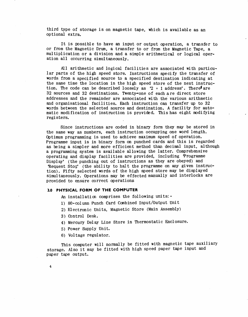third type of storage is on magnetic tape, which is available as an optional extra.

It is possible to have an input or output operation, a transfer to or from the Magnetic Drum, a transfer to or from the Magnetic Tape, a multiplication or a division and a simple arithmetical or logical operation all occurring simultaneously.

All arithmetic and logical facilities are associated with particular parts of the high speed store. Instructions specify the transfer of words from a specified source to a specified destination indicating at the same time the location in the high speed store of the next instruction. The code can be described loosely as  $2 + 1$  address'. There are <sup>32</sup> sources and <sup>32</sup> destinations. Twenty-one of each are direct store addresses and the remainder are associated with the various arithmetic and organisational facilities. Each instruction can transfer up to <sup>32</sup> words between the selected source and destination. <sup>A</sup> facility for automatic modification of instruction is provided. This has eight modifying registers.

Since instructions are coded in binary form they may be stored in the same way as numbers, each instruction occupying one word length. Optimum programming is used to achieve maximum speed of operation. Programme input is in binary form on punched cards and this is regarded as being a simpler and more efficient method than decimal input, although a programming system is available allowing the latter. Comprehensive operating and display facilities are provided, including 'Programme Display' (the punching out of instructions as they are obeyed) and Request Stop' (the ability to halt the programme on any given instruction). Fifty selected words of the high speed store may be displayed simultaneously. Operations may be effected manually and interlocks are provided to ensure correct operations

### **3.0 PHYSICAL FORM OF THE COMPUTER**

An installation comprises the following units:-

- 1) 80-column Punch Card Combined Input/Output Unit
- 2) Electronic Units, Magnetic Store (Main Assembly)
- 3) Control Desk.
- 4) Mercury Delay Line Store in Thermostatic Enclosure.
- 5) Power Supply Unit.
- 6) Voltage regulator.

This computer will normally be fitted with magnetic tape auxiliary storage. Also it may be fitted with high speed paper tape input and paper tape output..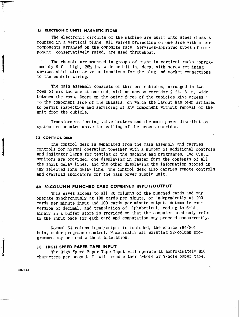### **3.1 ELECTRONIC UNITS, MAGNETIC STORE**

The electronic circuits of the machine are built onto steel chassis mounted in a vertical plane, all valves projecting on one side with other components arranged on the opposite face. Services-approved types of component, conservatively rated, are used throughout.

The chassis are mounted in groups of eight in vertical racks approximately 6 ft. high, 26% in. wide and 11 in. deep, with screw retaining devices which also serve as locations for the plug and socket connections to the cubicle wiring.

The main assembly consists of thirteen cubicles, arranged in two rows of six and one at one end, with an access corridor <sup>2</sup> ft. <sup>8</sup> in. wide between the rows. Doors on the outer faces of the cubicles give access  $\cdot$ to the component side of the chassis, on which the layout has been arranged to permit inspection and servicing of any component without removal of the unit from the cubicle.

Transformers feeding valve heaters and the main power distribution system are mounted above the ceiling of the access corridor.

### **3.2 CONTROL DESK**

The control desk is separated from the main assembly and carries controls for normal operation together with a number of additional controls and indicator lamps for testing of the machine and programmes. Two C.R.T. monitors are provided, one displaying in raster form the contents of all the short delay lines, and the other displaying the information stored in any selected long delay line. The control desk also carries remote controls and overload indicators for the main power supply unit.

### **4.0 80-COLUMN PUNCHED CARD COMBINED INPUT/OUTPUT**

This gives access to all 80 columns of the punched cards and may operate synchronously at <sup>100</sup> cards per minute, or independently at <sup>200</sup> cards per minute input and 100 cards per minute output. Automatic conversion of decimal, and translation of alphabetical, coding to 6-bit binary in a buffer store is provided so that the computer need only refer ' to the input once for each card and computation may proceed concurrently.

Normal 64-column input/output is included, the choice (64/80) being under programme control. Practically all existing 32-column programmes may be used without alteration.

### **5.0 HIGH SPEED PAPER TAPE INPUT**

The High Speed Paper Tape Input will operate at approximately 850 characters per second. It will read either 5-hole or 7-hole paper tape.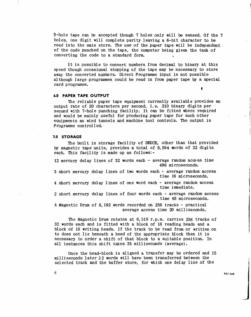8-hole tape can be accepted though 7 holes only will be sensed. Of the 7 holes, one digit will complete parity leaving a 6-bit character to be read into the main store. The use of the paper tape will be independent of the code punched on the tape, the computer being given the task of converting the code to a standard form.

It is possible to convert numbers from decimal to binary at this speed though occasional stopping of the tape may be necessary to store away the converted numbers. Direct Programme input is not possible although large programmes could be read in from paper tape by a special card programme.  $\blacksquare$ 

### **6.0 PAPER TAPE OUTPUT**

The reliable paper tape equipment currently available provides an output rate of <sup>30</sup> characters per second, i. e. 210 binary digits per second with 7-hole punching facility. It can be fitted where required and would be mainly useful for producing paper tape for such other equipments as wind tunnels and machine tool controls. The output is Programme controlled.

### **7.0 STORAGE**

The built in storage facility of DEUCE, other than that provided by magnetic tape units, provides a total of 8,594 words of <sup>32</sup> digits each. This facility is made up as follows:-

<sup>12</sup> mercury delay lines of 32 words each - average random access time 496 microseconds.

<sup>3</sup> short mercury delay lines of two words each - average random access time 16 microseconds.

- <sup>4</sup> short mercury delay lines of one word each average random access time immediate.
- <sup>2</sup> short mercury delay lines of four words each average random access time 48 microseconds.

<sup>A</sup> Magnetic Drum of 8,192 words recorded on 256 tracks - practical average access time 20 milliseconds.

The Magnetic Drum rotates at 6,510 r.p.m. carries 256 tracks of <sup>32</sup> words each and is fitted with a block of <sup>16</sup> reading heads and a block of <sup>16</sup> writing heads. If the track to be read from or written on to does not lie beneath <sup>a</sup> head of the appropriate block then it is necessary to order a shift of that block to a suitable position. In all instances this shift takes <sup>35</sup> milliseconds (average).

Once the head-block is aligned a transfer may be ordered and <sup>15</sup> milliseconds later 32 words will have been transferred between the selected track and the buffer store, for which one delay line of the

**6 ES/148**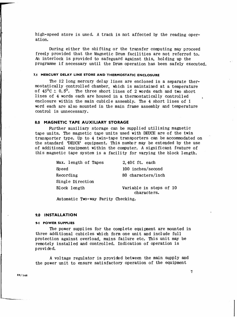high-speed store is used. A track is not affected by the reading operation.

During either the shifting or the transfer computing may proceed freely provided that the Magnetic Drum facilities are not referred to. An interlock is provided to safeguard against this, holding up the programme if necessary until the Drum operation has been safely executed.

### **7.1 MERCURY DELAY LINE STORE AND THERMOSTATIC ENCLOSURE**

The 12 long mercury delay lines are enclosed in a separate thermostatically controlled chamber, which is maintained at a temperature of  $45^{\circ}$ C  $\pm$  0.5<sup>o</sup>. The three short lines of 2 words each and two short lines of <sup>4</sup> words each are housed in a thermostatically controlled enclosure within the main cubicle assembly. The <sup>4</sup> short lines of <sup>1</sup> word each are also mounted in the main frame assembly and temperature control is unnecessary.

### **8.0 MAGNETIC TAPE AUXILIARY STORAGE**

Further auxiliary storage can be supplied utilising magnetic tape units. The magnetic tape units used with DEUCE are of the twin transporter type. Up to 4 twin-tape transporters can be accommodated on the standard DEUCE' equipment. This number may be extended by the use of additional equipment within the computer. <sup>A</sup> significant feature of this magnetic tape system is a facility for varying the block length.

> Max. length of Tapes 2,400 ft. each Speed 100 inches/second Recording 80 characters/inch Single Direction

Block length Variable in steps of 10 characters.

Automatic Two-way Parity Checking.

### **9.0 INSTALLATION**

### **9-1 POWER SUPPLIES**

The power supplies for the complete equipment are mounted in three additional cubicles which form one unit and include full protection against overload, mains failure etc. This unit may be remotely installed and controlled. Indication of operation is provided.

<sup>A</sup> voltage regulator is provided between the main supply and the power unit to ensure satisfactory operation of the equipment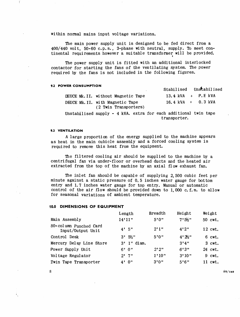within normal mains input voltage variations.

The main power supply unit is designed to be fed direct from a 400/440 volt, 50-60 c.p.s., 3-phase with neutral, supply. To meet continental requirements however a suitable transformer will be provided.

The power supply unit is fitted with an additional interlocked contactor for starting the fans of the ventilating system. The power required hy the fans is not included in the following figures.

### **9.2 POWER CONSUMPTION**

| DEUCE Mk. II. without Magnetic Tape                              | 13.4 kVA + $P.E$ kVA |
|------------------------------------------------------------------|----------------------|
| DEUCE Mk. II. with Magnetic Tape<br>(2 Twin Transporters)        | $16.4$ kVA + 0.3 kVA |
| Unstabilised supply - 4 kVA. extra for each additional twin tape |                      |

transporter.

Stabilised Unstabilised

**<**

### **9.3 VENTILATION**

<sup>A</sup> large proportion of the energy supplied to the machine appears as heat in the main cubicle assembly and a forced cooling system is required to remove this heat from the equipment.

The filtered cooling air should be supplied to the machine by <sup>a</sup> centrifugal fan via under-floor or overhead ducts and the heated air extracted from the top of the machine by an axial flow exhaust fan.

The inlet fan should be capable of supplying 2,500 cubic feet per minute against a static pressure of 0. <sup>5</sup> inches water gauge for bottom entry and 1. <sup>7</sup> inches water gauge for top entry. Manual or automatic control of the air flow should be provided down to  $1,000$  c.f.m. to allow for seasonal variations of ambient temperature.

### **10.0 DIMENSIONS OF EQUIPMENT**

|                                             | Length               | <b>Breadth</b> | Height             | Weight    |
|---------------------------------------------|----------------------|----------------|--------------------|-----------|
| Main Assembly                               | 14'11''              | 5'0''          | $7:5\frac{1}{2}$ " | 50 cwt.   |
| 80-column Punched Card<br>Input/Output Unit | 4'5''                | 2'1''          | 4'2''              | $12$ cwt. |
| Control Desk                                | $3'5\frac{1}{2}''$   | 5'0''          | 4'2''              | 6 cwt.    |
| Mercury Delay Line Store                    | $3'$ 1" diam.        |                | 3'4''              | $3$ cwt.  |
| Power Supply Unit                           | $6'$ $0''$           | 2'2''          | 6'3''              | 24 cwt.   |
| Voltage Regulator                           | - 7"<br>$2^{\prime}$ | 1'10''         | 3'10''             | 9 cwt.    |
| Twin Tape Transporter                       | 4'0''                | 3'0''          | 5'6''              | 11 cwt.   |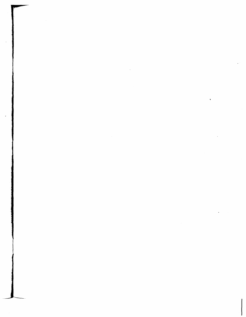$\label{eq:2.1} \frac{1}{\sqrt{2}}\int_{\mathbb{R}^3}\frac{1}{\sqrt{2}}\left(\frac{1}{\sqrt{2}}\right)^2\frac{1}{\sqrt{2}}\left(\frac{1}{\sqrt{2}}\right)^2\frac{1}{\sqrt{2}}\left(\frac{1}{\sqrt{2}}\right)^2\frac{1}{\sqrt{2}}\left(\frac{1}{\sqrt{2}}\right)^2\frac{1}{\sqrt{2}}\left(\frac{1}{\sqrt{2}}\right)^2\frac{1}{\sqrt{2}}\frac{1}{\sqrt{2}}\frac{1}{\sqrt{2}}\frac{1}{\sqrt{2}}\frac{1}{\sqrt{2}}\frac{1}{\sqrt{2}}$ 

 $\mathcal{L}(\mathcal{L})$  and  $\mathcal{L}(\mathcal{L})$  . The  $\mathcal{L}(\mathcal{L})$ 

 $\epsilon$ 

 $\label{eq:2.1} \frac{1}{2} \sum_{i=1}^n \frac{1}{2} \sum_{j=1}^n \frac{1}{2} \sum_{j=1}^n \frac{1}{2} \sum_{j=1}^n \frac{1}{2} \sum_{j=1}^n \frac{1}{2} \sum_{j=1}^n \frac{1}{2} \sum_{j=1}^n \frac{1}{2} \sum_{j=1}^n \frac{1}{2} \sum_{j=1}^n \frac{1}{2} \sum_{j=1}^n \frac{1}{2} \sum_{j=1}^n \frac{1}{2} \sum_{j=1}^n \frac{1}{2} \sum_{j=1}^n \frac{$